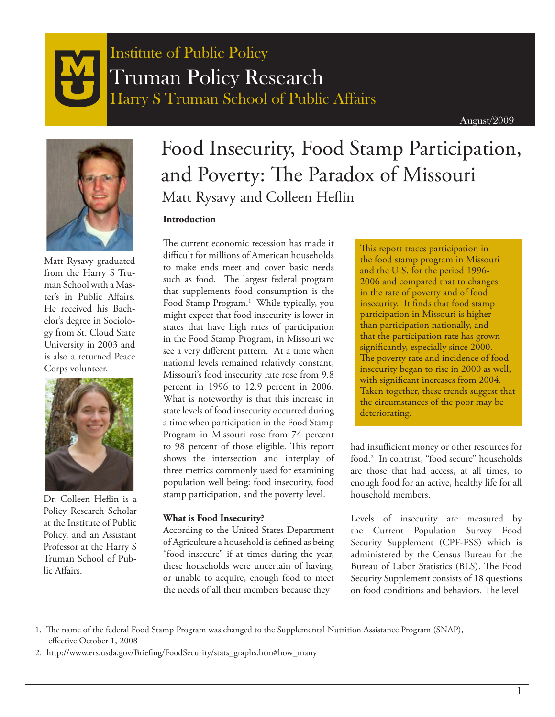



Matt Rysavy graduated from the Harry S Truman School with a Master's in Public Affairs. He received his Bachelor's degree in Sociology from St. Cloud State University in 2003 and is also a returned Peace Corps volunteer.



Dr. Colleen Heflin is a Policy Research Scholar at the Institute of Public Policy, and an Assistant Professor at the Harry S Truman School of Public Affairs.

# Food Insecurity, Food Stamp Participation, and Poverty: The Paradox of Missouri Matt Rysavy and Colleen Heflin

### **Introduction**

The current economic recession has made it difficult for millions of American households to make ends meet and cover basic needs such as food. The largest federal program that supplements food consumption is the Food Stamp Program.<sup>1</sup> While typically, you might expect that food insecurity is lower in states that have high rates of participation in the Food Stamp Program, in Missouri we see a very different pattern. At a time when national levels remained relatively constant, Missouri's food insecurity rate rose from 9.8 percent in 1996 to 12.9 percent in 2006. What is noteworthy is that this increase in state levels of food insecurity occurred during a time when participation in the Food Stamp Program in Missouri rose from 74 percent to 98 percent of those eligible. This report shows the intersection and interplay of three metrics commonly used for examining population well being: food insecurity, food stamp participation, and the poverty level.

#### **What is Food Insecurity?**

According to the United States Department of Agriculture a household is defined as being "food insecure" if at times during the year, these households were uncertain of having, or unable to acquire, enough food to meet the needs of all their members because they

This report traces participation in the food stamp program in Missouri and the U.S. for the period 1996- 2006 and compared that to changes in the rate of poverty and of food insecurity. It finds that food stamp participation in Missouri is higher than participation nationally, and that the participation rate has grown significantly, especially since 2000. The poverty rate and incidence of food insecurity began to rise in 2000 as well, with significant increases from 2004. Taken together, these trends suggest that the circumstances of the poor may be deteriorating.

had insufficient money or other resources for food.2 In contrast, "food secure" households are those that had access, at all times, to enough food for an active, healthy life for all household members.

Levels of insecurity are measured by the Current Population Survey Food Security Supplement (CPF-FSS) which is administered by the Census Bureau for the Bureau of Labor Statistics (BLS). The Food Security Supplement consists of 18 questions on food conditions and behaviors. The level

 <sup>1.</sup> The name of the federal Food Stamp Program was changed to the Supplemental Nutrition Assistance Program (SNAP), effective October 1, 2008

<sup>2.</sup> http://www.ers.usda.gov/Briefing/FoodSecurity/stats\_graphs.htm#how\_many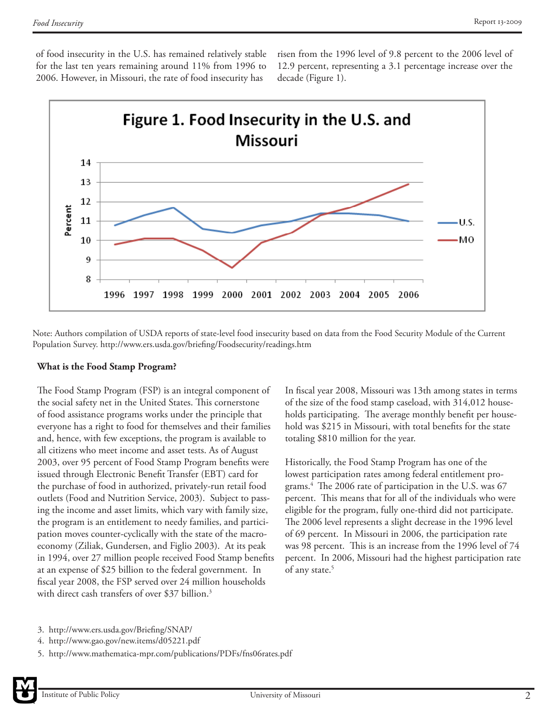of food insecurity in the U.S. has remained relatively stable for the last ten years remaining around 11% from 1996 to 2006. However, in Missouri, the rate of food insecurity has

risen from the 1996 level of 9.8 percent to the 2006 level of 12.9 percent, representing a 3.1 percentage increase over the decade (Figure 1).



Note: Authors compilation of USDA reports of state-level food insecurity based on data from the Food Security Module of the Current Population Survey. http://www.ers.usda.gov/briefing/Foodsecurity/readings.htm

#### **What is the Food Stamp Program?**

The Food Stamp Program (FSP) is an integral component of the social safety net in the United States. This cornerstone of food assistance programs works under the principle that everyone has a right to food for themselves and their families and, hence, with few exceptions, the program is available to all citizens who meet income and asset tests. As of August 2003, over 95 percent of Food Stamp Program benefits were issued through Electronic Benefit Transfer (EBT) card for the purchase of food in authorized, privately-run retail food outlets (Food and Nutrition Service, 2003). Subject to passing the income and asset limits, which vary with family size, the program is an entitlement to needy families, and participation moves counter-cyclically with the state of the macroeconomy (Ziliak, Gundersen, and Figlio 2003). At its peak in 1994, over 27 million people received Food Stamp benefits at an expense of \$25 billion to the federal government. In fiscal year 2008, the FSP served over 24 million households with direct cash transfers of over \$37 billion.<sup>3</sup>

In fiscal year 2008, Missouri was 13th among states in terms of the size of the food stamp caseload, with 314,012 households participating. The average monthly benefit per household was \$215 in Missouri, with total benefits for the state totaling \$810 million for the year.

Historically, the Food Stamp Program has one of the lowest participation rates among federal entitlement programs.4 The 2006 rate of participation in the U.S. was 67 percent. This means that for all of the individuals who were eligible for the program, fully one-third did not participate. The 2006 level represents a slight decrease in the 1996 level of 69 percent. In Missouri in 2006, the participation rate was 98 percent. This is an increase from the 1996 level of 74 percent. In 2006, Missouri had the highest participation rate of any state.<sup>5</sup>

- 4. http://www.gao.gov/new.items/d05221.pdf
- 5. http://www.mathematica-mpr.com/publications/PDFs/fns06rates.pdf

<sup>3.</sup> http://www.ers.usda.gov/Briefing/SNAP/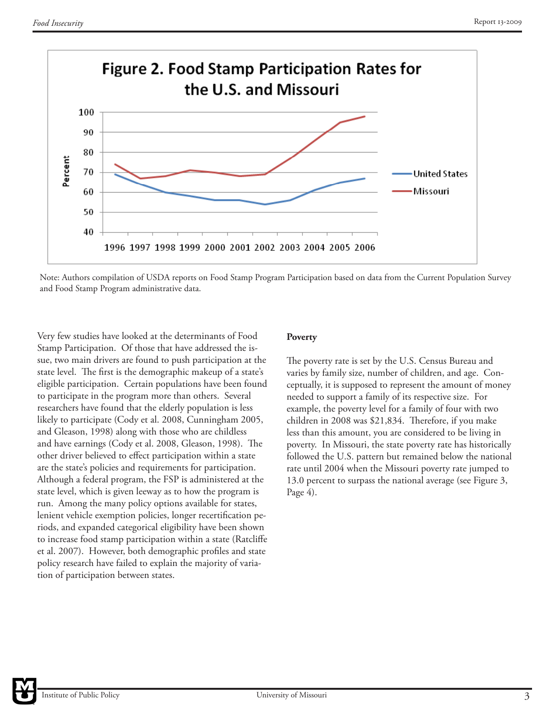

Note: Authors compilation of USDA reports on Food Stamp Program Participation based on data from the Current Population Survey and Food Stamp Program administrative data.

Very few studies have looked at the determinants of Food Stamp Participation. Of those that have addressed the issue, two main drivers are found to push participation at the state level. The first is the demographic makeup of a state's eligible participation. Certain populations have been found to participate in the program more than others. Several researchers have found that the elderly population is less likely to participate (Cody et al. 2008, Cunningham 2005, and Gleason, 1998) along with those who are childless and have earnings (Cody et al. 2008, Gleason, 1998). The other driver believed to effect participation within a state are the state's policies and requirements for participation. Although a federal program, the FSP is administered at the state level, which is given leeway as to how the program is run. Among the many policy options available for states, lenient vehicle exemption policies, longer recertification periods, and expanded categorical eligibility have been shown to increase food stamp participation within a state (Ratcliffe et al. 2007). However, both demographic profiles and state policy research have failed to explain the majority of variation of participation between states.

# **Poverty**

The poverty rate is set by the U.S. Census Bureau and varies by family size, number of children, and age. Conceptually, it is supposed to represent the amount of money needed to support a family of its respective size. For example, the poverty level for a family of four with two children in 2008 was \$21,834. Therefore, if you make less than this amount, you are considered to be living in poverty. In Missouri, the state poverty rate has historically followed the U.S. pattern but remained below the national rate until 2004 when the Missouri poverty rate jumped to 13.0 percent to surpass the national average (see Figure 3, Page 4).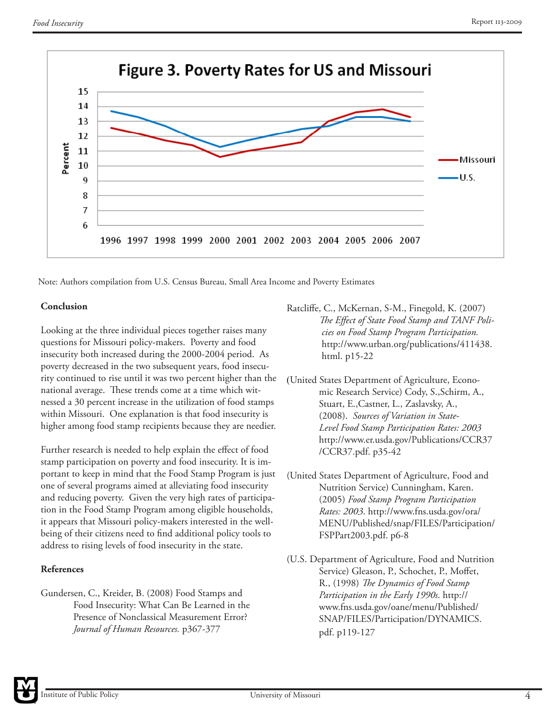

Note: Authors compilation from U.S. Census Bureau, Small Area Income and Poverty Estimates

#### **Conclusion**

Looking at the three individual pieces together raises many questions for Missouri policy-makers. Poverty and food insecurity both increased during the 2000-2004 period. As poverty decreased in the two subsequent years, food insecurity continued to rise until it was two percent higher than the national average. These trends come at a time which witnessed a 30 percent increase in the utilization of food stamps within Missouri. One explanation is that food insecurity is higher among food stamp recipients because they are needier.

Further research is needed to help explain the effect of food stamp participation on poverty and food insecurity. It is important to keep in mind that the Food Stamp Program is just one of several programs aimed at alleviating food insecurity and reducing poverty. Given the very high rates of participation in the Food Stamp Program among eligible households, it appears that Missouri policy-makers interested in the wellbeing of their citizens need to find additional policy tools to address to rising levels of food insecurity in the state.

# **References**

Gundersen, C., Kreider, B. (2008) Food Stamps and Food Insecurity: What Can Be Learned in the Presence of Nonclassical Measurement Error? *Journal of Human Resources.* p367-377

- Ratcliffe, C., McKernan, S-M., Finegold, K. (2007) *The Effect of State Food Stamp and TANF Poli cies on Food Stamp Program Participation.*  http://www.urban.org/publications/411438. html. p15-22
- (United States Department of Agriculture, Econo mic Research Service) Cody, S.,Schirm, A., Stuart, E.,Castner, L., Zaslavsky, A., (2008). *Sources of Variation in State- Level Food Stamp Participation Rates: 2003* http://www.er.usda.gov/Publications/CCR37 /CCR37.pdf. p35-42
- (United States Department of Agriculture, Food and Nutrition Service) Cunningham, Karen. (2005) *Food Stamp Program Participation Rates: 2003*. http://www.fns.usda.gov/ora/ MENU/Published/snap/FILES/Participation/ FSPPart2003.pdf. p6-8
- (U.S. Department of Agriculture, Food and Nutrition Service) Gleason, P., Schochet, P., Moffet, R., (1998) *The Dynamics of Food Stamp Participation in the Early 1990s*. http:// www.fns.usda.gov/oane/menu/Published/ SNAP/FILES/Participation/DYNAMICS. pdf. p119-127